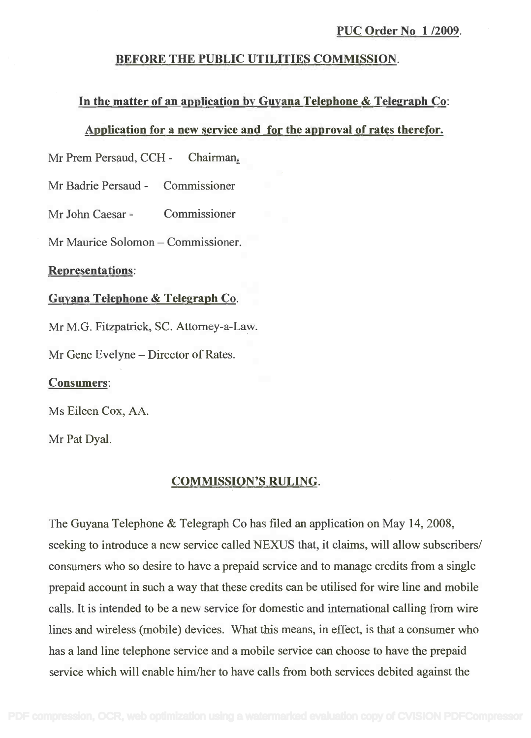## BEFORE THE PUBLIC UTILITIES COMMISSION. BEFORE THE PUBLIC UTILITIES COMMISSION.

## In the matter of an application by Guyana Telephone & Telegraph Co: **In** the matter of an application by Guyana Telephone & Telegraph Co:

### Application for a new service and for the approval of rates therefor. Application for a new service and for the approval of rates therefor.

Mr Prem Persaud, CCH - Chairman.

Mr Badrie Persaud - Commissioner Mr Badrie Persaud - Commissioner

Mr John Caesar - Commissioner

Mr Maurice Solomon – Commissioner.

#### Representations:

# Guyana Telephone & Telegraph Co. Guyana Telephone & Telegraph Co.

Mr M.G. Fitzpatrick, SC. Attorney-a-Law.

Mr Gene Evelyne – Director of Rates.

### Consumers:

Ms Eileen Cox, AA. Ms Eileen Cox, AA.

Mr Pat Dyal. Mr Pat Dyal.

### COMMISSION'S RULING.

The Guyana Telephone & Telegraph Co has filed an application on May 14, 2008, The Guyana Telephone & Telegraph Co has filed an application on May 14,2008, seeking to introduce a new service called NEXUS that, it claims, will allow subscribers/ seeking to introduce a new service called NEXUS that, it claims, will allow subscribers/ consumers who so desire to have a prepaid service and to manage credits from a single consumers who so desire to have a prepaid service and to manage credits from a single prepaid account in such a way that these credits can be utilised for wire line and mobile prepaid account in such a way that these credits can be utilised for wire line and mobile calls. It is intended to be a new service for domestic and international calling from wire calls. It is intended to be a new service for domestic and international calling from wire lines and wireless (mobile) devices. What this means, in effect, is that a consumer who lines and wireless (mobile) devices. What this means, in effect, is that a consumer who has a land line telephone service and a mobile service can choose to have the prepaid has a land line telephone service and a mobile service can choose to have the prepaid service which will enable him/her to have calls from both services debited against the service which will enable him/her to have calls from both services debited against the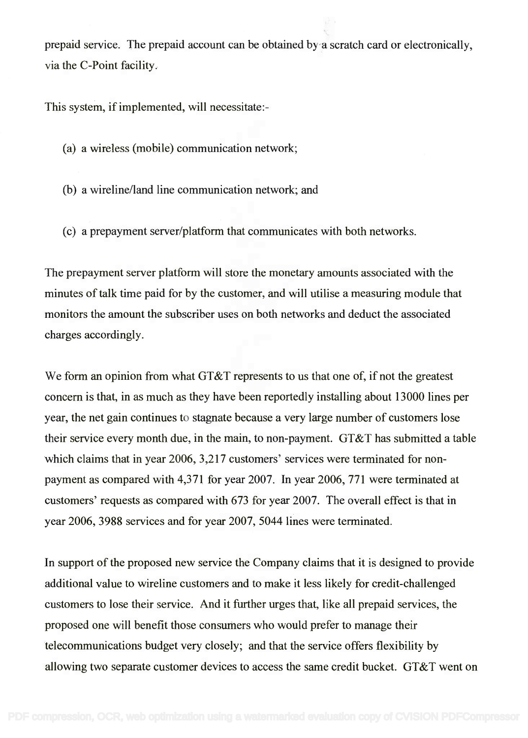prepaid service. The prepaid account can be obtained by a scratch card or electronically, prepaid service. The prepaid account can be obtained by a scratch card or electronically, via the C-Point facility. via the C-Point facility.

This system, if implemented, will necessitate:-

- (a) a wireless (mobile) communication network;
- (b) a wireline/land line communication network; and
- (c) a prepayment server/platform that communicates with both networks.

The prepayment server platform will store the monetary amounts associated with the The prepayment server platform will store the monetary amounts associated with the minutes of talk time paid for by the customer, and will utilise a measuring module that minutes of talk time paid for by the customer, and will utilise a measuring module that monitors the amount the subscriber uses on both networks and deduct the associated monitors the amount the subscriber uses on both networks and deduct the associated charges accordingly. charges accordingly.

We form an opinion from what GT&T represents to us that one of, if not the greatest We form an opinion from what GT&T represents to us that one of, if not the greatest concern is that, in as much as they have been reportedly installing about 13000 lines per concern is that, in as much as they have been reportedly installing about 13000 lines per year, the net gain continues to stagnate because a very large number of customers lose year, the net gain continues to stagnate because a very large number of customers lose their service every month due, in the main, to non-payment. GT&T has submitted a table their service every month due, in the main, to non-payment. GT&T has submitted a table which claims that in year 2006, 3,217 customers' services were terminated for non-which claims that in year 2006,3,217 customers' services were terminated for nonpayment as compared with 4,371 for year 2007. In year 2006, 771 were terminated at payment as compared with 4,371 for year 2007. In year 2006, 771 were terminated at customers' requests as compared with 673 for year 2007. The overall effect is that in customers' requests as compared with 673 for year 2007. The overall effect is that in year 2006, 3988 services and for year 2007, 5044 lines were terminated. year 2006,3988 services and for year 2007, 5044 lines were terminated.

In support of the proposed new service the Company claims that it is designed to provide In support of the proposed new service the Company claims that it is designed to provide additional value to wireline customers and to make it less likely for credit-challenged additional value to wireline customers and to make it less likely for credit-challenged customers to lose their service. And it further urges that, like all prepaid services, the customers to lose their service. And it further urges that, like all prepaid services, the proposed one will benefit those consumers who would prefer to manage their proposed one will benefit those consumers who would prefer to manage their telecommunications budget very closely; and that the service offers flexibility by telecommunications budget very closely; and that the service offers flexibility by allowing two separate customer devices to access the same credit bucket. GT&T went on allowing two separate customer devices to access the same credit bucket. GT&T went on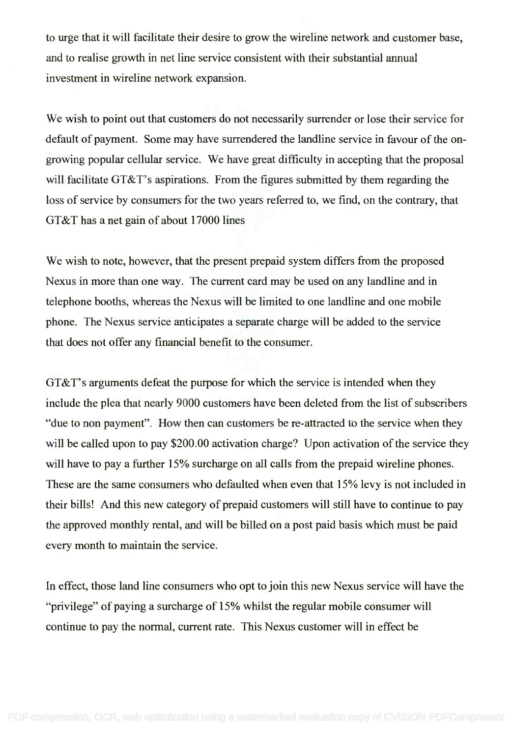to urge that it will facilitate their desire to grow the wireline network and customer base, to urge that it will facilitate their desire to grow the wireline network and customer base, and to realise growth in net line service consistent with their substantial annual investment in wireline network expansion.

We wish to point out that customers do not necessarily surrender or lose their service for We wish to point out that customers do not necessarily surrender or lose their service for default of payment. Some may have surrendered the landline service in favour of the on-default of payment. Some may have surrendered the landline service in favour of the ongrowing popular cellular service. We have great difficulty in accepting that the proposal growing popular cellular service. We have great difficulty in accepting that the proposal will facilitate GT&T's aspirations. From the figures submitted by them regarding the will facilitate GT&T's aspirations. From the figures submitted by them regarding the loss of service by consumers for the two years referred to, we find, on the contrary, that loss of service by consumers for the two years referred to, we find, on the contrary, that GT&T has a net gain of about 17000 lines GT&T has a net gain of about 17000 lines

We wish to note, however, that the present prepaid system differs from the proposed We wish to note, however, that the present prepaid system differs from the proposed Nexus in more than one way. The current card may be used on any landline and in Nexus in more than one way. The current card may be used on any landline and in telephone booths, whereas the Nexus will be limited to one landline and one mobile telephone booths, whereas the Nexus will be limited to one landline and one mobile phone. The Nexus service anticipates a separate charge will be added to the service phone. The Nexus service anticipates a separate charge will be added to the service that does not offer any financial benefit to the consumer. that does not offer any financial benefit to the consumer.

GT&T's arguments defeat the purpose for which the service is intended when they GT&T's arguments defeat the purpose for which the service is intended when they include the plea that nearly 9000 customers have been deleted from the list of subscribers include the plea that nearly 9000 customers have been deleted from the list of subscribers "due to non payment". How then can customers be re-attracted to the service when they "due to non payment". How then can customers be re-attracted to the service when they will be called upon to pay \$200.00 activation charge? Upon activation of the service they will be called upon to pay \$200.00 activation charge? Upon activation of the service they will have to pay a further 15% surcharge on all calls from the prepaid wireline phones. will have to pay a further 15% surcharge on all calls from the prepaid wireline phones. These are the same consumers who defaulted when even that 15% levy is not included in These are the same consumers who defaulted when even that 15% levy is not included in their bills! And this new category of prepaid customers will still have to continue to pay their bills! And this new category of prepaid customers will still have to continue to pay the approved monthly rental, and will be billed on a post paid basis which must be paid every month to maintain the service. every month to maintain the service.

In effect, those land line consumers who opt to join this new Nexus service will have the In effect, those land line consumers who opt to join this new Nexus service will have the "privilege" of paying a surcharge of 15% whilst the regular mobile consumer will "privilege" of paying a surcharge of 15% whilst the regular mobile consumer will continue to pay the normal, current rate. This Nexus customer will in effect be continue to pay the normal, current rate. This Nexus customer will in effect be